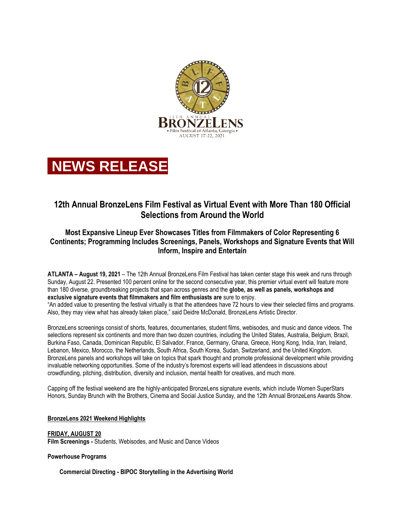



# **12th Annual BronzeLens Film Festival as Virtual Event with More Than 180 Official Selections from Around the World**

## **Most Expansive Lineup Ever Showcases Titles from Filmmakers of Color Representing 6 Continents; Programming Includes Screenings, Panels, Workshops and Signature Events that Will Inform, Inspire and Entertain**

**ATLANTA – August 19, 2021** – The 12th Annual BronzeLens Film Festival has taken center stage this week and runs through Sunday, August 22. Presented 100 percent online for the second consecutive year, this premier virtual event will feature more than 180 diverse, groundbreaking projects that span across genres and the **globe, as well as panels, workshops and exclusive signature events that filmmakers and film enthusiasts are** sure to enjoy.

"An added value to presenting the festival virtually is that the attendees have 72 hours to view their selected films and programs. Also, they may view what has already taken place," said Deidre McDonald, BronzeLens Artistic Director.

BronzeLens screenings consist of shorts, features, documentaries, student films, webisodes, and music and dance videos. The selections represent six continents and more than two dozen countries, including the United States, Australia, Belgium, Brazil, Burkina Faso, Canada, Dominican Republic, El Salvador, France, Germany, Ghana, Greece, Hong Kong, India, Iran, Ireland, Lebanon, Mexico, Morocco, the Netherlands, South Africa, South Korea, Sudan, Switzerland, and the United Kingdom. BronzeLens panels and workshops will take on topics that spark thought and promote professional development while providing invaluable networking opportunities. Some of the industry's foremost experts will lead attendees in discussions about crowdfunding, pitching, distribution, diversity and inclusion, mental health for creatives, and much more.

Capping off the festival weekend are the highly-anticipated BronzeLens signature events, which include Women SuperStars Honors, Sunday Brunch with the Brothers, Cinema and Social Justice Sunday, and the 12th Annual BronzeLens Awards Show.

## **BronzeLens 2021 Weekend Highlights**

#### **FRIDAY, AUGUST 20 Film Screenings -** Students, Webisodes, and Music and Dance Videos

#### **Powerhouse Programs**

**Commercial Directing - BIPOC Storytelling in the Advertising World**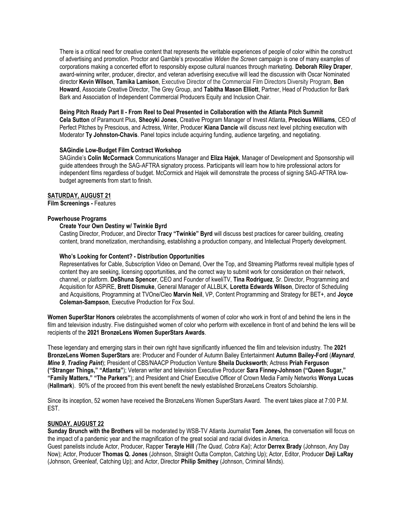There is a critical need for creative content that represents the veritable experiences of people of color within the construct of advertising and promotion. Proctor and Gamble's provocative *Widen the Screen* campaign is one of many examples of corporations making a concerted effort to responsibly expose cultural nuances through marketing. **Deborah Riley Draper**, award-winning writer, producer, director, and veteran advertising executive will lead the discussion with Oscar Nominated director **Kevin Wilson**, **Tamika Lamison**, Executive Director of the Commercial Film Directors Diversity Program, **Ben Howard**, Associate Creative Director, The Grey Group, and **Tabitha Mason Elliott**, Partner, Head of Production for Bark Bark and Association of Independent Commercial Producers Equity and Inclusion Chair.

#### **Being Pitch Ready Part II - From Reel to Deal Presented in Collaboration with the Atlanta Pitch Summit**

**Cela Sutton** of Paramount Plus, **Sheoyki Jones**, Creative Program Manager of Invest Atlanta, **Precious Williams**, CEO of Perfect Pitches by Prescious, and Actress, Writer, Producer **Kiana Dancie** will discuss next level pitching execution with Moderator **Ty Johnston-Chavis**. Panel topics include acquiring funding, audience targeting, and negotiating.

### **SAGindie Low-Budget Film Contract Workshop**

SAGindie's **Colin McCormack** Communications Manager and **Eliza Hajek**, Manager of Development and Sponsorship will guide attendees through the SAG-AFTRA signatory process. Participants will learn how to hire professional actors for independent films regardless of budget. McCormick and Hajek will demonstrate the process of signing SAG-AFTRA lowbudget agreements from start to finish.

### **SATURDAY, AUGUST 21**

**Film Screenings -** Features

## **Powerhouse Programs**

## **Create Your Own Destiny w/ Twinkie Byrd**

Casting Director, Producer, and Director **Tracy "Twinkie" Byrd** will discuss best practices for career building, creating content, brand monetization, merchandising, establishing a production company, and Intellectual Property development.

### **Who's Looking for Content? - Distribution Opportunities**

Representatives for Cable, Subscription Video on Demand, Over the Top, and Streaming Platforms reveal multiple types of content they are seeking, licensing opportunities, and the correct way to submit work for consideration on their network, channel, or platform. **DeShuna Spencer**, CEO and Founder of kweliTV, **Tina Rodriguez**, Sr. Director, Programming and Acquisition for ASPiRE, **Brett Dismuke**, General Manager of ALLBLK, **Loretta Edwards Wilson**, Director of Scheduling and Acquisitions, Programming at TVOne/Cleo **Marvin Neil**, VP, Content Programming and Strategy for BET+, and **Joyce Coleman-Sampson**, Executive Production for Fox Soul.

**Women SuperStar Honors** celebrates the accomplishments of women of color who work in front of and behind the lens in the film and television industry. Five distinguished women of color who perform with excellence in front of and behind the lens will be recipients of the **2021 BronzeLens Women SuperStars Awards**.

These legendary and emerging stars in their own right have significantly influenced the film and television industry. The **2021 BronzeLens Women SuperStars** are: Producer and Founder of Autumn Bailey Entertainment **Autumn Bailey-Ford** (*Maynard*, *Mine 9*, *Trading Paint*); President of CBS/NAACP Production Venture **Sheila Ducksworth**; Actress **Priah Ferguson ("Stranger Things," "Atlanta"**); Veteran writer and television Executive Producer **Sara Finney-Johnson ("Queen Sugar," "Family Matters," "The Parkers"**); and President and Chief Executive Officer of Crown Media Family Networks **Wonya Lucas**  (**Hallmark**). 90% of the proceed from this event benefit the newly established BronzeLens Creators Scholarship.

Since its inception, 52 women have received the BronzeLens Women SuperStars Award. The event takes place at 7:00 P.M. EST.

## **SUNDAY, AUGUST 22**

**Sunday Brunch with the Brothers** will be moderated by WSB-TV Atlanta Journalist **Tom Jones**, the conversation will focus on the impact of a pandemic year and the magnification of the great social and racial divides in America. Guest panelists include Actor, Producer, Rapper **Terayle Hill** *(The Quad, Cobra Kai)*; Actor **Derrex Brady** (Johnson, Any Day Now); Actor, Producer **Thomas Q. Jones** (Johnson, Straight Outta Compton, Catching Up); Actor, Editor, Producer **Deji LaRay** (Johnson, Greenleaf, Catching Up); and Actor, Director **Philip Smithey** (Johnson, Criminal Minds).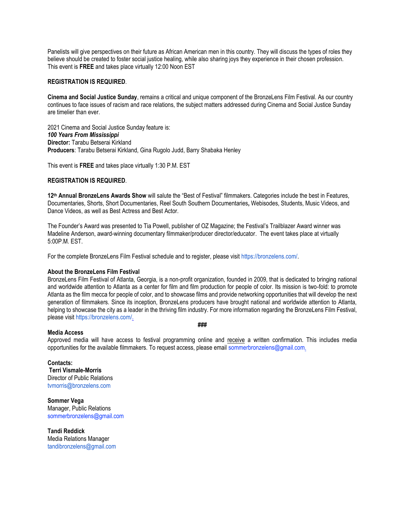Panelists will give perspectives on their future as African American men in this country. They will discuss the types of roles they believe should be created to foster social justice healing, while also sharing joys they experience in their chosen profession. This event is **FREE** and takes place virtually 12:00 Noon EST

## **REGISTRATION IS REQUIRED**.

**Cinema and Social Justice Sunday**, remains a critical and unique component of the BronzeLens Film Festival. As our country continues to face issues of racism and race relations, the subject matters addressed during Cinema and Social Justice Sunday are timelier than ever.

2021 Cinema and Social Justice Sunday feature is: *100 Years From Mississippi* **Director:** Tarabu Betserai Kirkland **Producers**: Tarabu Betserai Kirkland, Gina Rugolo Judd, Barry Shabaka Henley

This event is **FREE** and takes place virtually 1:30 P.M. EST

## **REGISTRATION IS REQUIRED**.

**12th Annual BronzeLens Awards Show** will salute the "Best of Festival" filmmakers. Categories include the best in Features, Documentaries, Shorts, Short Documentaries, Reel South Southern Documentaries**,** Webisodes, Students, Music Videos, and Dance Videos, as well as Best Actress and Best Actor.

The Founder's Award was presented to Tia Powell, publisher of OZ Magazine; the Festival's Trailblazer Award winner was Madeline Anderson, award-winning documentary filmmaker/producer director/educator. The event takes place at virtually 5:00P.M. EST.

For the complete BronzeLens Film Festival schedule and to register, please visit [https://bronzelens.com/.](https://bronzelens.com/)

#### **About the BronzeLens Film Festival**

BronzeLens Film Festival of Atlanta, Georgia, is a non-profit organization, founded in 2009, that is dedicated to bringing national and worldwide attention to Atlanta as a center for film and film production for people of color. Its mission is two-fold: to promote Atlanta as the film mecca for people of color, and to showcase films and provide networking opportunities that will develop the next generation of filmmakers. Since its inception, BronzeLens producers have brought national and worldwide attention to Atlanta, helping to showcase the city as a leader in the thriving film industry. For more information regarding the BronzeLens Film Festival, please visit [https://bronzelens.com/.](https://bronzelens.com/)

#### **###**

**Media Access** Approved media will have access to festival programming online and receive a written confirmation. This includes media opportunities for the available filmmakers. To request access, please email sommerbronzelens@gmail.com.

**Contacts: Terri Vismale-Morris** Director of Public Relations tvmorris@bronzelens.com

**Sommer Vega** Manager, Public Relations sommerbronzelens@gmail.com

**Tandi Reddick** Media Relations Manager tandibronzelens@gmail.com